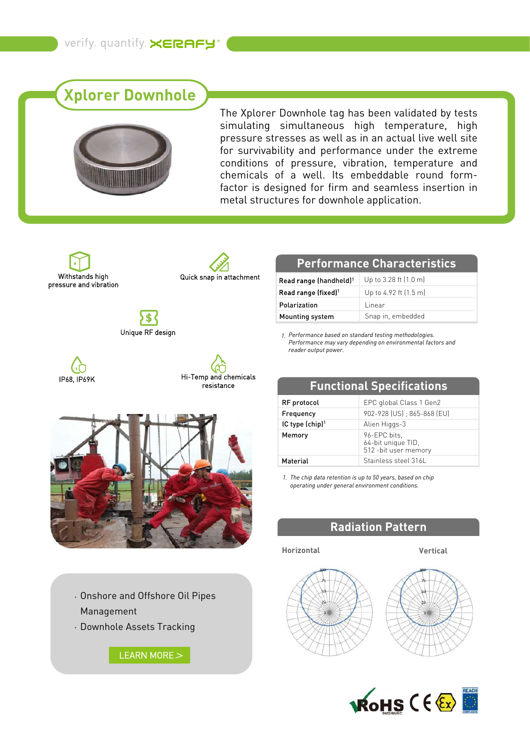# **Xplorer Downhole**



The Xplorer Downhole tag has been validated by tests simulating simultaneous high temperature, high pressure stresses as well as in an actual live well site for survivability and performance under the extreme conditions of pressure, vibration, temperature and chemicals of a well. Its embeddable round formfactor is designed for firm and seamless insertion in metal structures for downhole application.

Withstands high pressure and vibration



)\$( Unique RF design







Onshore and Offshore Oil Pipes Management

Downhole Assets Tracking

[LEARN MORE](https://www.xerafy.com/post/how-sinopec-tracks-drill-pipes-in-oilfields) >

## **Performance Characteristics**

| Read range (handheld) <sup>1</sup> | Up to 3.28 ft $(1.0 \text{ m})$ |
|------------------------------------|---------------------------------|
| Read range (fixed) <sup>1</sup>    | Up to 4.92 ft (1.5 m)           |
| Polarization                       | l inear                         |
| Mounting system                    | Snap in, embedded               |

*Performance based on standard testing methodologies. 1. Performance may vary depending on environmental factors and reader output power.*

| resistance |                             | <b>Functional Specifications</b>                            |  |
|------------|-----------------------------|-------------------------------------------------------------|--|
|            | RF protocol                 | EPC global Class 1 Gen2                                     |  |
|            | Frequency                   | 902-928 (US) ; 865-868 (EU)                                 |  |
|            | IC type (chip) <sup>1</sup> | Alien Higgs-3                                               |  |
|            | Memory                      | 96-EPC bits,<br>64-bit unique TID,<br>512 - bit user memory |  |
|            | Material                    | Stainless steel 316L                                        |  |

*The chip data retention is up to 50 years, based on chip 1. operating under general environment conditions.*

## **Radiation Pattern**

#### **Horizontal Vertical**